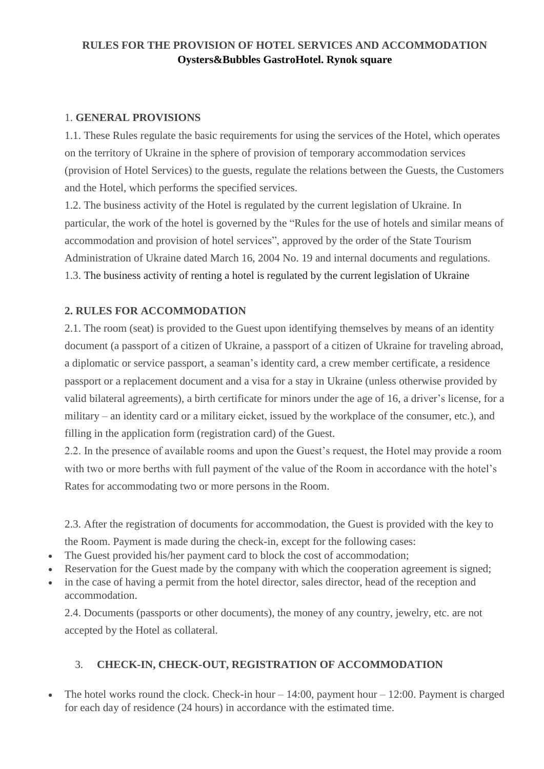### **RULES FOR THE PROVISION OF HOTEL SERVICES AND ACCOMMODATION Oysters&Bubbles GastroHotel. Rynok square**

#### 1. **GENERAL PROVISIONS**

1.1. These Rules regulate the basic requirements for using the services of the Hotel, which operates on the territory of Ukraine in the sphere of provision of temporary accommodation services (provision of Hotel Services) to the guests, regulate the relations between the Guests, the Customers and the Hotel, which performs the specified services.

1.2. The business activity of the Hotel is regulated by the current legislation of Ukraine. In particular, the work of the hotel is governed by the "Rules for the use of hotels and similar means of accommodation and provision of hotel services", approved by the order of the State Tourism Administration of Ukraine dated March 16, 2004 No. 19 and internal documents and regulations. 1.3. The business activity of renting a hotel is regulated by the current legislation of Ukraine

### **2. RULES FOR ACCOMMODATION**

2.1. The room (seat) is provided to the Guest upon identifying themselves by means of an identity document (a passport of a citizen of Ukraine, a passport of a citizen of Ukraine for traveling abroad, a diplomatic or service passport, a seaman's identity card, a crew member certificate, a residence passport or a replacement document and a visa for a stay in Ukraine (unless otherwise provided by valid bilateral agreements), a birth certificate for minors under the age of 16, a driver's license, for a military – an identity card or a military еicket, issued by the workplace of the consumer, etc.), and filling in the application form (registration card) of the Guest.

2.2. In the presence of available rooms and upon the Guest's request, the Hotel may provide a room with two or more berths with full payment of the value of the Room in accordance with the hotel's Rates for accommodating two or more persons in the Room.

2.3. After the registration of documents for accommodation, the Guest is provided with the key to

the Room. Payment is made during the check-in, except for the following cases:

- The Guest provided his/her payment card to block the cost of accommodation;
- Reservation for the Guest made by the company with which the cooperation agreement is signed;
- in the case of having a permit from the hotel director, sales director, head of the reception and accommodation.

2.4. Documents (passports or other documents), the money of any country, jewelry, etc. are not accepted by the Hotel as collateral.

### 3. **CHECK-IN, CHECK-OUT, REGISTRATION OF ACCOMMODATION**

The hotel works round the clock. Check-in hour  $-14:00$ , payment hour  $-12:00$ . Payment is charged for each day of residence (24 hours) in accordance with the estimated time.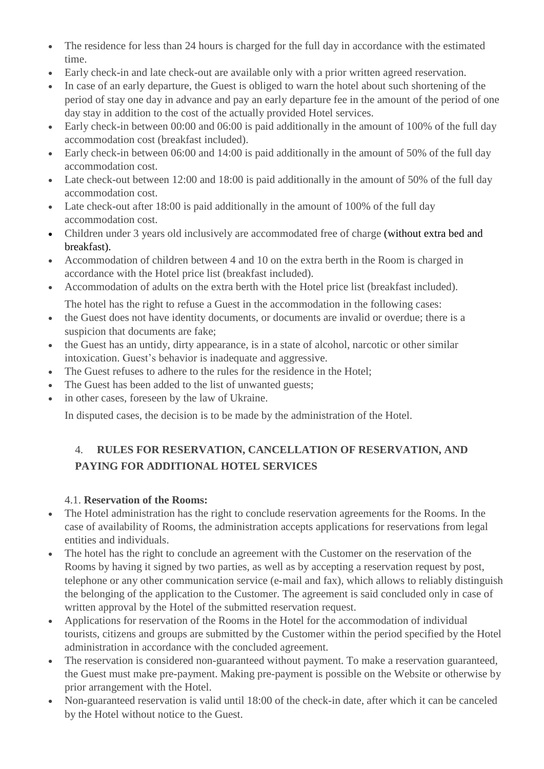- The residence for less than 24 hours is charged for the full day in accordance with the estimated time.
- Early check-in and late check-out are available only with a prior written agreed reservation.
- In case of an early departure, the Guest is obliged to warn the hotel about such shortening of the period of stay one day in advance and pay an early departure fee in the amount of the period of one day stay in addition to the cost of the actually provided Hotel services.
- Early check-in between 00:00 and 06:00 is paid additionally in the amount of 100% of the full day accommodation cost (breakfast included).
- Early check-in between 06:00 and 14:00 is paid additionally in the amount of 50% of the full day accommodation cost.
- Late check-out between 12:00 and 18:00 is paid additionally in the amount of 50% of the full day accommodation cost.
- Late check-out after 18:00 is paid additionally in the amount of 100% of the full day accommodation cost.
- Children under 3 years old inclusively are accommodated free of charge (without extra bed and breakfast).
- Accommodation of children between 4 and 10 on the extra berth in the Room is charged in accordance with the Hotel price list (breakfast included).
- Accommodation of adults on the extra berth with the Hotel price list (breakfast included). The hotel has the right to refuse a Guest in the accommodation in the following cases:
- the Guest does not have identity documents, or documents are invalid or overdue; there is a suspicion that documents are fake;
- the Guest has an untidy, dirty appearance, is in a state of alcohol, narcotic or other similar intoxication. Guest's behavior is inadequate and aggressive.
- The Guest refuses to adhere to the rules for the residence in the Hotel;
- The Guest has been added to the list of unwanted guests;
- in other cases, foreseen by the law of Ukraine.

In disputed cases, the decision is to be made by the administration of the Hotel.

# 4. **RULES FOR RESERVATION, CANCELLATION OF RESERVATION, AND PAYING FOR ADDITIONAL HOTEL SERVICES**

### 4.1. **Reservation of the Rooms:**

- The Hotel administration has the right to conclude reservation agreements for the Rooms. In the case of availability of Rooms, the administration accepts applications for reservations from legal entities and individuals.
- The hotel has the right to conclude an agreement with the Customer on the reservation of the Rooms by having it signed by two parties, as well as by accepting a reservation request by post, telephone or any other communication service (e-mail and fax), which allows to reliably distinguish the belonging of the application to the Customer. The agreement is said concluded only in case of written approval by the Hotel of the submitted reservation request.
- Applications for reservation of the Rooms in the Hotel for the accommodation of individual tourists, citizens and groups are submitted by the Customer within the period specified by the Hotel administration in accordance with the concluded agreement.
- The reservation is considered non-guaranteed without payment. To make a reservation guaranteed, the Guest must make pre-payment. Making pre-payment is possible on the Website or otherwise by prior arrangement with the Hotel.
- Non-guaranteed reservation is valid until 18:00 of the check-in date, after which it can be canceled by the Hotel without notice to the Guest.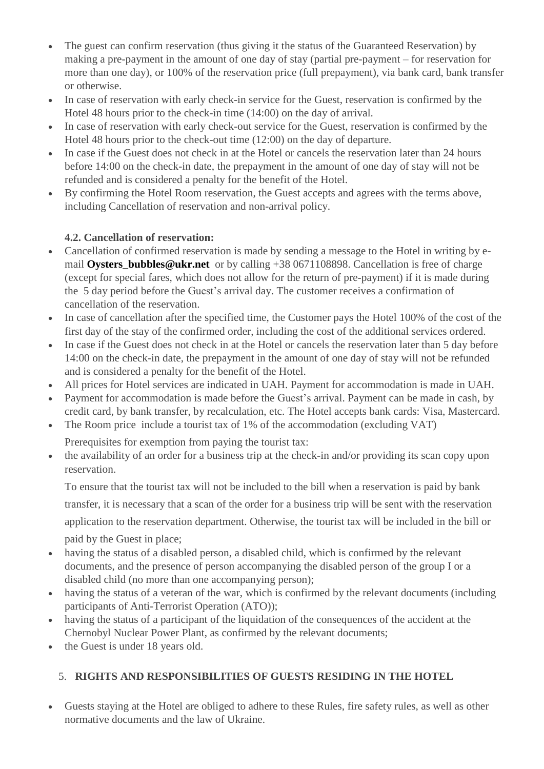- The guest can confirm reservation (thus giving it the status of the Guaranteed Reservation) by making a pre-payment in the amount of one day of stay (partial pre-payment – for reservation for more than one day), or 100% of the reservation price (full prepayment), via bank card, bank transfer or otherwise.
- In case of reservation with early check-in service for the Guest, reservation is confirmed by the Hotel 48 hours prior to the check-in time (14:00) on the day of arrival.
- In case of reservation with early check-out service for the Guest, reservation is confirmed by the Hotel 48 hours prior to the check-out time (12:00) on the day of departure.
- In case if the Guest does not check in at the Hotel or cancels the reservation later than 24 hours before 14:00 on the check-in date, the prepayment in the amount of one day of stay will not be refunded and is considered a penalty for the benefit of the Hotel.
- By confirming the Hotel Room reservation, the Guest accepts and agrees with the terms above, including Cancellation of reservation and non-arrival policy.

## **4.2. Cancellation of reservation:**

- Cancellation of confirmed reservation is made by sending a message to the Hotel in writing by email **Oysters\_bubbles@ukr.net** or by calling +38 0671108898. Cancellation is free of charge (except for special fares, which does not allow for the return of pre-payment) if it is made during the 5 day period before the Guest's arrival day. The customer receives a confirmation of cancellation of the reservation.
- In case of cancellation after the specified time, the Customer pays the Hotel 100% of the cost of the first day of the stay of the confirmed order, including the cost of the additional services ordered.
- In case if the Guest does not check in at the Hotel or cancels the reservation later than 5 day before 14:00 on the check-in date, the prepayment in the amount of one day of stay will not be refunded and is considered a penalty for the benefit of the Hotel.
- All prices for Hotel services are indicated in UAH. Payment for accommodation is made in UAH.
- Payment for accommodation is made before the Guest's arrival. Payment can be made in cash, by credit card, by bank transfer, by recalculation, etc. The Hotel accepts bank cards: Visa, Mastercard.
- The Room price include a tourist tax of 1% of the accommodation (excluding VAT)

Prerequisites for exemption from paying the tourist tax:

 the availability of an order for a business trip at the check-in and/or providing its scan copy upon reservation.

To ensure that the tourist tax will not be included to the bill when a reservation is paid by bank transfer, it is necessary that a scan of the order for a business trip will be sent with the reservation application to the reservation department. Otherwise, the tourist tax will be included in the bill or paid by the Guest in place;

- having the status of a disabled person, a disabled child, which is confirmed by the relevant documents, and the presence of person accompanying the disabled person of the group I or a disabled child (no more than one accompanying person);
- having the status of a veteran of the war, which is confirmed by the relevant documents (including participants of Anti-Terrorist Operation (ATO));
- having the status of a participant of the liquidation of the consequences of the accident at the Chernobyl Nuclear Power Plant, as confirmed by the relevant documents;
- the Guest is under 18 years old.

# 5. **RIGHTS AND RESPONSIBILITIES OF GUESTS RESIDING IN THE HOTEL**

 Guests staying at the Hotel are obliged to adhere to these Rules, fire safety rules, as well as other normative documents and the law of Ukraine.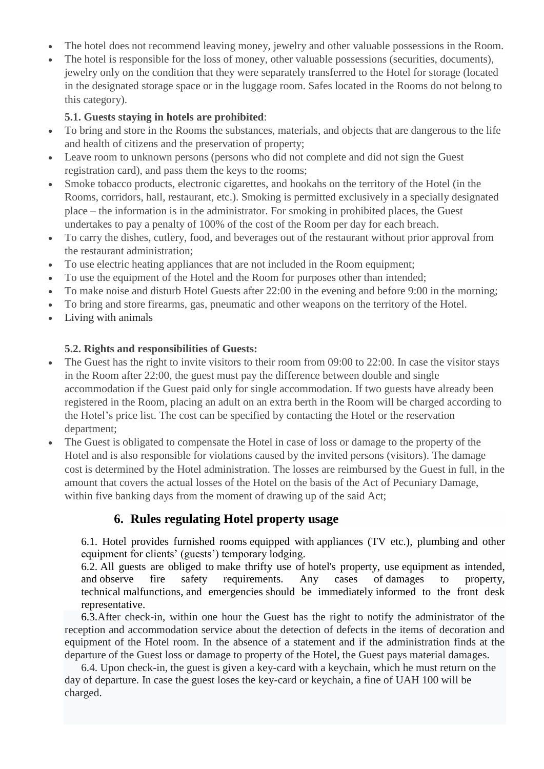- The hotel does not recommend leaving money, jewelry and other valuable possessions in the Room.
- The hotel is responsible for the loss of money, other valuable possessions (securities, documents), jewelry only on the condition that they were separately transferred to the Hotel for storage (located in the designated storage space or in the luggage room. Safes located in the Rooms do not belong to this category).

#### **5.1. Guests staying in hotels are prohibited**:

- To bring and store in the Rooms the substances, materials, and objects that are dangerous to the life and health of citizens and the preservation of property;
- Leave room to unknown persons (persons who did not complete and did not sign the Guest registration card), and pass them the keys to the rooms;
- Smoke tobacco products, electronic cigarettes, and hookahs on the territory of the Hotel (in the Rooms, corridors, hall, restaurant, etc.). Smoking is permitted exclusively in a specially designated place – the information is in the administrator. For smoking in prohibited places, the Guest undertakes to pay a penalty of 100% of the cost of the Room per day for each breach.
- To carry the dishes, cutlery, food, and beverages out of the restaurant without prior approval from the restaurant administration;
- To use electric heating appliances that are not included in the Room equipment;
- To use the equipment of the Hotel and the Room for purposes other than intended;
- To make noise and disturb Hotel Guests after 22:00 in the evening and before 9:00 in the morning;
- To bring and store firearms, gas, pneumatic and other weapons on the territory of the Hotel.
- Living with animals

#### **5.2. Rights and responsibilities of Guests:**

- The Guest has the right to invite visitors to their room from 09:00 to 22:00. In case the visitor stays in the Room after 22:00, the guest must pay the difference between double and single accommodation if the Guest paid only for single accommodation. If two guests have already been registered in the Room, placing an adult on an extra berth in the Room will be charged according to the Hotel's price list. The cost can be specified by contacting the Hotel or the reservation department;
- The Guest is obligated to compensate the Hotel in case of loss or damage to the property of the Hotel and is also responsible for violations caused by the invited persons (visitors). The damage cost is determined by the Hotel administration. The losses are reimbursed by the Guest in full, in the amount that covers the actual losses of the Hotel on the basis of the Act of Pecuniary Damage, within five banking days from the moment of drawing up of the said Act;

## **6. Rules regulating Hotel property usage**

6.1. Hotel provides furnished rooms equipped with appliances (TV etc.), plumbing and other equipment for clients' (guests') temporary lodging.

6.2. All guests are obliged to make thrifty use of hotel's property, use equipment as intended, and observe fire safety requirements. Any cases of damages to property, technical malfunctions, and emergencies should be immediately informed to the front desk representative.

 6.3.After check-in, within one hour the Guest has the right to notify the administrator of the reception and accommodation service about the detection of defects in the items of decoration and equipment of the Hotel room. In the absence of a statement and if the administration finds at the departure of the Guest loss or damage to property of the Hotel, the Guest pays material damages.

 6.4. Upon check-in, the guest is given a key-card with a keychain, which he must return on the day of departure. In case the guest loses the key-card or keychain, a fine of UAH 100 will be charged.